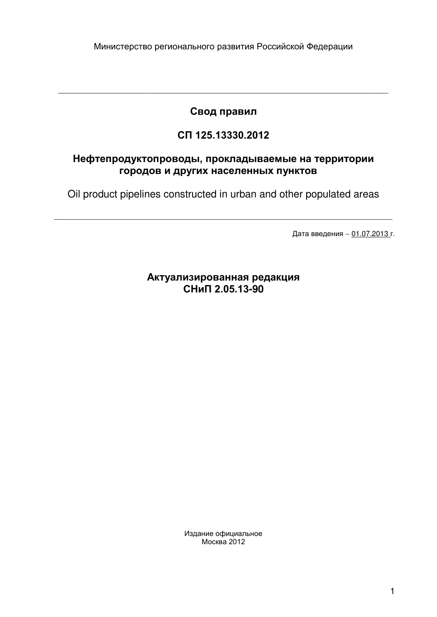# Свод правил

\_\_\_\_\_\_\_\_\_\_\_\_\_\_\_\_\_\_\_\_\_\_\_\_\_\_\_\_\_\_\_\_\_\_\_\_\_\_\_\_\_\_\_\_\_\_\_\_\_\_\_\_\_\_\_\_\_\_\_\_\_\_\_\_\_\_\_\_\_\_\_\_\_\_\_\_\_\_\_\_\_

# **でぢ 125.13330.2012**

## Нефтепродуктопроводы, прокладываемые на территории городов и других населенных пунктов

Oil product pipelines constructed in urban and other populated areas

\_\_\_\_\_\_\_\_\_\_\_\_\_\_\_\_\_\_\_\_\_\_\_\_\_\_\_\_\_\_\_\_\_\_\_\_\_\_\_\_\_\_\_\_\_\_\_\_\_\_\_\_\_\_\_\_\_\_\_\_\_\_\_\_\_\_\_\_\_\_\_\_\_\_\_\_\_\_\_\_\_\_\_

Дата введения - 01.07.2013 г.

## **Актуализированная редакция СНиП 2.05.13-90**

Издание официальное  $M$ осква 2012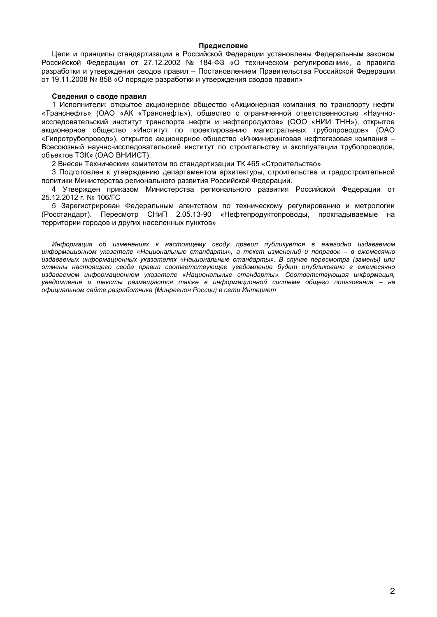## Предисловие

Цели и принципы стандартизации в Российской Федерации установлены Федеральным законом Российской Федерации от 27.12.2002 № 184-ФЗ «О техническом регулировании», а правила разработки и утверждения сводов правил - Постановлением Правительства Российской Федерации от 19.11.2008 № 858 «О порядке разработки и утверждения сводов правил»

## Сведения о своде правил

1 Исполнители: открытое акционерное общество «Акционерная компания по транспорту нефти «Транснефть» (ОАО «АК «Транснефть»), общество с ограниченной ответственностью «Научноисследовательский институт транспорта нефти и нефтепродуктов» (ООО «НИИ ТНН»), открытое акционерное общество «Институт по проектированию магистральных трубопроводов» (ОАО «Гипротрубопровод»), открытое акционерное общество «Инжиниринговая нефтегазовая компания -Всесоюзный научно-исследовательский институт по строительству и эксплуатации трубопроводов, объектов ТЭК» (ОАО ВНИИСТ).

2 Внесен Техническим комитетом по стандартизации ТК 465 «Строительство»

3 Подготовлен к утверждению департаментом архитектуры, строительства и градостроительной политики Министерства регионального развития Российской Федерации.

4 Утвержден приказом Министерства регионального развития Российской Федерации от 25.12.2012 г. № 106/ГС

5 Зарегистрирован Федеральным агентством по техническому регулированию и метрологии (Росстандарт). Пересмотр СНиП 2.05.13-90 «Нефтепродуктопроводы, прокладываемые на территории городов и других населенных пунктов»

Информация об изменениях к настоящему своду правил публикуется в ежегодно издаваемом информационном указателе «Национальные стандарты», а текст изменений и поправок - в ежемесячно издаваемых информационных указателях «Национальные стандарты». В случае пересмотра (замены) или отмены настоящего свода правил соответствующее уведомление будет опубликовано в ежемесячно издаваемом информационном указателе «Национальные стандарты». Соответствующая информация, уведомление и тексты размещаются также в информационной системе общего пользования - на официальном сайте разработчика (Минрегион России) в сети Интернет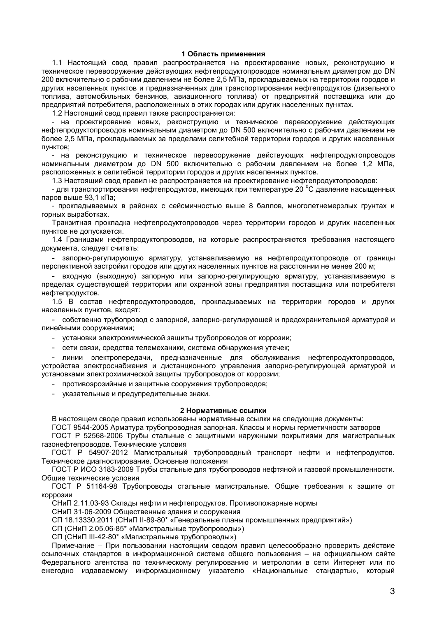## 1 Область применения

1.1 Настоящий свод правил распространяется на проектирование новых, реконструкцию и техническое перевооружение действующих нефтепродуктопроводов номинальным диаметром до DN 200 включительно с рабочим давлением не более 2.5 МПа, прокладываемых на территории городов и других населенных пунктов и предназначенных для транспортирования нефтепродуктов (дизельного топлива, автомобильных бензинов, авиационного топлива) от предприятий поставщика или до предприятий потребителя, расположенных в этих городах или других населенных пунктах.

1.2 Настоящий свод правил также распространяется:

- на проектирование новых, реконструкцию и техническое перевооружение действующих нефтепродуктопроводов номинальным диаметром до DN 500 включительно с рабочим давлением не более 2,5 МПа, прокладываемых за пределами селитебной территории городов и других населенных пунктов;

- на реконструкцию и техническое перевооружение действующих нефтепродуктопроводов номинальным диаметром до DN 500 включительно с рабочим давлением не более 1,2 МПа, расположенных в селитебной территории городов и других населенных пунктов.

1.3 Настоящий свод правил не распространяется на проектирование нефтепродуктопроводов:

- для транспортирования нефтепродуктов, имеющих при температуре 20 °С давление насышенных паров выше 93.1 кПа:

прокладываемых в районах с сейсмичностью выше 8 баллов, многолетнемерзлых грунтах и горных выработках.

Транзитная прокладка нефтепродуктопроводов через территории городов и других населенных пунктов не допускается.

1.4 Границами нефтепродуктопроводов, на которые распространяются требования настоящего документа, следует считать:

- запорно-регулирующую арматуру, устанавливаемую на нефтепродуктопроводе от границы перспективной застройки городов или других населенных пунктов на расстоянии не менее 200 м;

входную (выходную) запорную или запорно-регулирующую арматуру, устанавливаемую в  $\Delta \sim$ пределах существующей территории или охранной зоны предприятия поставшика или потребителя нефтепродуктов.

1.5 В состав нефтепродуктопроводов, прокладываемых на территории городов и других населенных пунктов, входят:

- собственно трубопровод с запорной, запорно-регулирующей и предохранительной арматурой и линейными сооружениями;

- установки электрохимической защиты трубопроводов от коррозии;

- сети связи, средства телемеханики, система обнаружения утечек;

- линии электропередачи, предназначенные для обслуживания нефтепродуктопроводов, устройства электроснабжения и дистанционного управления запорно-регулирующей арматурой и установками электрохимической защиты трубопроводов от коррозии;

противоэрозийные и защитные сооружения трубопроводов;

указательные и предупредительные знаки.

#### 2 Нормативные ссылки

В настоящем своде правил использованы нормативные ссылки на следующие документы:

ГОСТ 9544-2005 Арматура трубопроводная запорная. Классы и нормы герметичности затворов

ГОСТ Р 52568-2006 Трубы стальные с защитными наружными покрытиями для магистральных газонефтепроводов. Технические условия

ГОСТ Р 54907-2012 Магистральный трубопроводный транспорт нефти и нефтепродуктов. Техническое диагностирование. Основные положения

ГОСТ Р ИСО 3183-2009 Трубы стальные для трубопроводов нефтяной и газовой промышленности. Обшие технические условия

ГОСТ Р 51164-98 Трубопроводы стальные магистральные. Общие требования к защите от коррозии

СНиП 2.11.03-93 Склады нефти и нефтепродуктов. Противопожарные нормы

СНиП 31-06-2009 Общественные здания и сооружения

СП 18.13330.2011 (СНиП II-89-80\* «Генеральные планы промышленных предприятий»)

СП (СНиП 2.05.06-85\* «Магистральные трубопроводы»)

СП (СНиП III-42-80\* «Магистральные трубопроводы»)

Примечание - При пользовании настоящим сводом правил целесообразно проверить действие ссылочных стандартов в информационной системе общего пользования - на официальном сайте Федерального агентства по техническому регулированию и метрологии в сети Интернет или по ежегодно издаваемому информационному указателю «Национальные стандарты», который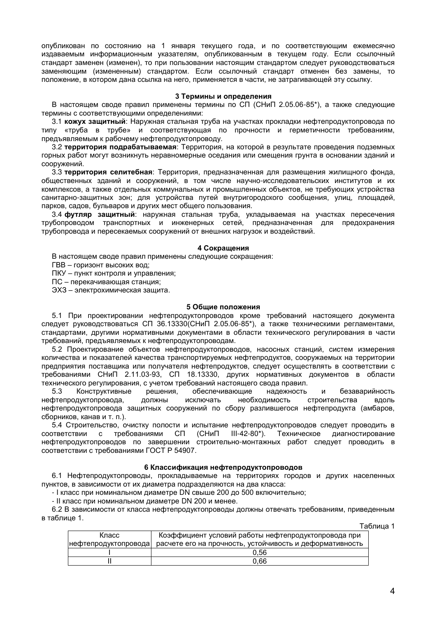опубликован по состоянию на 1 января текущего года, и по соответствующим ежемесячно издаваемым информационным указателям, опубликованным в текущем году. Если ссылочный стандарт заменен (изменен), то при пользовании настоящим стандартом следует руководствоваться заменяющим (измененным) стандартом. Если ссылочный стандарт отменен без замены, то положение, в котором дана ссылка на него, применяется в части, не затрагивающей эту ссылку.

#### 3 Термины и определения

В настоящем своде правил применены термины по СП (СНиП 2.05.06-85\*), а также следующие термины с соответствующими определениями:

3.1 кожух защитный: Наружная стальная труба на участках прокладки нефтепродуктопровода по типу «труба в трубе» и соответствующая по прочности и герметичности требованиям. предъявляемым к рабочему нефтепродуктопроводу.

3.2 территория подрабатываемая: Территория, на которой в результате проведения подземных горных работ могут возникнуть неравномерные оседания или смещения грунта в основании зданий и сооружений.

3.3 территория селитебная: Территория, предназначенная для размещения жилищного фонда, общественных зданий и сооружений, в том числе научно-исследовательских институтов и их комплексов, а также отдельных коммунальных и промышленных объектов, не требующих устройства санитарно-защитных зон; для устройства путей внутригородского сообщения, улиц, площадей, парков, садов, бульваров и других мест общего пользования.

3.4 футляр защитный: наружная стальная труба, укладываемая на участках пересечения трубопроводом транспортных и инженерных сетей, предназначенная для предохранения трубопровода и пересекаемых сооружений от внешних нагрузок и воздействий.

#### 4 Сокращения

В настоящем своде правил применены следующие сокращения:

ГВВ - горизонт высоких вод;

ПКУ - пункт контроля и управления;

ПС - перекачивающая станция:

ЭХЗ - электрохимическая защита.

## 5 Общие положения

5.1 При проектировании нефтепродуктопроводов кроме требований настоящего документа следует руководствоваться СП 36.13330(СНиП 2.05.06-85\*), а также техническими регламентами, стандартами, другими нормативными документами в области технического регулирования в части требований, предъявляемых к нефтепродуктопроводам.

5.2 Проектирование объектов нефтепродуктопроводов, насосных станций, систем измерения количества и показателей качества транспортируемых нефтепродуктов, сооружаемых на территории предприятия поставщика или получателя нефтепродуктов, следует осуществлять в соответствии с требованиями СНиП 2.11.03-93, СП 18.13330, других нормативных документов в области технического регулирования, с учетом требований настоящего свода правил.

Конструктивные обеспечивающие  $5.3$ решения, надежность безаварийность И исключать необходимость строительства нефтепродуктопровода, ДОЛЖНЫ вдоль нефтепродуктопровода защитных сооружений по сбору разлившегося нефтепродукта (амбаров, сборников, канав и т. п.).

5.4 Строительство, очистку полости и испытание нефтепродуктопроводов следует проводить в соответствии требованиями СП (СНиП  $III-42-80$ \*). Техническое диагностирование  $\mathbf{C}$ нефтепродуктопроводов по завершении строительно-монтажных работ следует проводить в соответствии с требованиями ГОСТ Р 54907.

#### 6 Классификация нефтепродуктопроводов

6.1 Нефтепродуктопроводы, прокладываемые на территориях городов и других населенных пунктов, в зависимости от их диаметра подразделяются на два класса:

- I класс при номинальном диаметре DN свыше 200 до 500 включительно;

- II класс при номинальном диаметре DN 200 и менее.

6.2 В зависимости от класса нефтепродуктопроводы должны отвечать требованиям, приведенным в таблице 1.

Таблица 1

|       | .                                                                              |
|-------|--------------------------------------------------------------------------------|
| Класс | Коэффициент условий работы нефтепродуктопровода при                            |
|       | нефтепродуктопровода  расчете его на прочность, устойчивость и деформативность |
|       | 0.56                                                                           |
|       | 0.66                                                                           |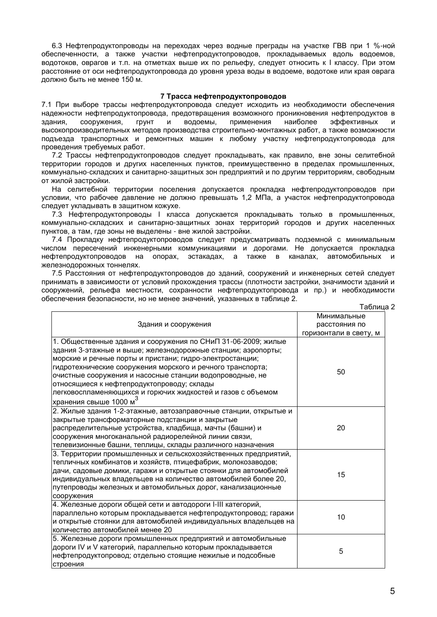6.3 Нефтепродуктопроводы на переходах через водные преграды на участке ГВВ при 1 %-ной обеспеченности, а также участки нефтепродуктопроводов, прокладываемых вдоль водоемов, водотоков, оврагов и т.п. на отметках выше их по рельефу, следует относить к I классу. При этом расстояние от оси нефтепродуктопровода до уровня уреза воды в водоеме, водотоке или края оврага должно быть не менее 150 м.

## 7 Трасса нефтепродуктопроводов

7.1 При выборе трассы нефтепродуктопровода следует исходить из необходимости обеспечения надежности нефтепродуктопровода, предотвращения возможного проникновения нефтепродуктов в здания. сооружения. ГРУНТ  $\mathsf{M}$ водоемы, применения наиболее эффективных И высокопроизводительных методов производства строительно-монтажных работ, а также возможности подъезда транспортных и ремонтных машин к любому участку нефтепродуктопровода для проведения требуемых работ.

7.2 Трассы нефтепродуктопроводов следует прокладывать, как правило, вне зоны селитебной территории городов и других населенных пунктов, преимущественно в пределах промышленных, коммунально-складских и санитарно-защитных зон предприятий и по другим территориям, свободным от жилой застройки.

На селитебной территории поселения допускается прокладка нефтепродуктопроводов при условии, что рабочее давление не должно превышать 1.2 МПа, а участок нефтепродуктопровода следует укладывать в защитном кожухе.

7.3 Нефтепродуктопроводы I класса допускается прокладывать только в промышленных, коммунально-складских и санитарно-защитных зонах территорий городов и других населенных пунктов, а там, где зоны не выделены - вне жилой застройки.

7.4 Прокладку нефтепродуктопроводов следует предусматривать подземной с минимальным числом пересечений инженерными коммуникациями и дорогами. Не допускается прокладка нефтепродуктопроводов на опорах, эстакадах, а также в каналах, автомобильных и железнодорожных тоннелях.

7.5 Расстояния от нефтепродуктопроводов до зданий, сооружений и инженерных сетей следует принимать в зависимости от условий прохождения трассы (плотности застройки, значимости зданий и сооружений, рельефа местности, сохранности нефтепродуктопровода и пр.) и необходимости обеспечения безопасности, но не менее значений, указанных в таблице 2.

|                                                                                                                                                                                                                                                                                                                                                                                                                                                                        | Таблица 2                                              |
|------------------------------------------------------------------------------------------------------------------------------------------------------------------------------------------------------------------------------------------------------------------------------------------------------------------------------------------------------------------------------------------------------------------------------------------------------------------------|--------------------------------------------------------|
| Здания и сооружения                                                                                                                                                                                                                                                                                                                                                                                                                                                    | Минимальные<br>расстояния по<br>горизонтали в свету, м |
| 1. Общественные здания и сооружения по СНиП 31-06-2009; жилые<br>здания 3-этажные и выше; железнодорожные станции; аэропорты;<br>морские и речные порты и пристани; гидро-электростанции;<br>гидротехнические сооружения морского и речного транспорта;<br>очистные сооружения и насосные станции водопроводные, не<br>относящиеся к нефтепродуктопроводу; склады<br>легковоспламеняющихся и горючих жидкостей и газов с объемом<br>хранения свыше 1000 м <sup>3</sup> | 50                                                     |
| 2. Жилые здания 1-2-этажные, автозаправочные станции, открытые и<br>закрытые трансформаторные подстанции и закрытые<br>распределительные устройства, кладбища, мачты (башни) и<br>сооружения многоканальной радиорелейной линии связи,<br>телевизионные башни, теплицы, склады различного назначения                                                                                                                                                                   | 20                                                     |
| 3. Территории промышленных и сельскохозяйственных предприятий,<br>тепличных комбинатов и хозяйств, птицефабрик, молокозаводов;<br>дачи, садовые домики, гаражи и открытые стоянки для автомобилей<br>индивидуальных владельцев на количество автомобилей более 20,<br>путепроводы железных и автомобильных дорог, канализационные<br>сооружения                                                                                                                        | 15                                                     |
| 4. Железные дороги общей сети и автодороги I-III категорий,<br>параллельно которым прокладывается нефтепродуктопровод; гаражи<br>и открытые стоянки для автомобилей индивидуальных владельцев на<br>количество автомобилей менее 20                                                                                                                                                                                                                                    | 10                                                     |
| 5. Железные дороги промышленных предприятий и автомобильные<br>дороги IV и V категорий, параллельно которым прокладывается<br>нефтепродуктопровод; отдельно стоящие нежилые и подсобные<br>строения                                                                                                                                                                                                                                                                    | 5                                                      |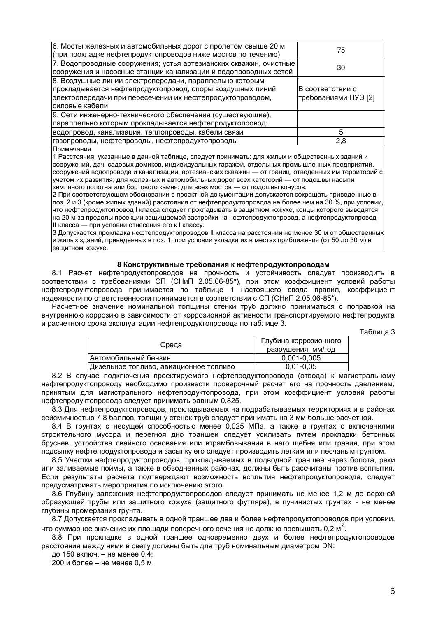| 6. Мосты железных и автомобильных дорог с пролетом свыше 20 м<br>(при прокладке нефтепродуктопроводов ниже мостов по течению)                                                                         | 75                                       |
|-------------------------------------------------------------------------------------------------------------------------------------------------------------------------------------------------------|------------------------------------------|
| 7. Водопроводные сооружения; устья артезианских скважин, очистные<br>сооружения и насосные станции канализации и водопроводных сетей                                                                  | 30                                       |
| 8. Воздушные линии электропередачи, параллельно которым<br> прокладывается нефтепродуктопровод, опоры воздушных линий<br> электропередачи при пересечении их нефтепродуктопроводом,<br>силовые кабели | В соответствии с<br>требованиями ПУЭ [2] |
| 9. Сети инженерно-технического обеспечения (существующие),<br>параллельно которым прокладывается нефтепродуктопровод:                                                                                 |                                          |
| водопровод, канализация, теплопроводы, кабели связи                                                                                                                                                   | 5                                        |
| газопроводы, нефтепроводы, нефтепродуктопроводы                                                                                                                                                       | 2,8                                      |
| Примечания                                                                                                                                                                                            |                                          |

1 Расстояния, указанные в данной таблице, следует принимать: для жилых и общественных зданий и сооружений, дач, садовых домиков, индивидуальных гаражей, отдельных промышленных предприятий, сооружений водопровода и канализации, артезианских скважин - от границ, отведенных им территорий с учетом их развития; для железных и автомобильных дорог всех категорий — от подошвы насыпи земляного полотна или бортового камня: для всех мостов - от подошвы конусов.

2 При соответствующем обосновании в проектной документации допускается сокращать приведенные в поз. 2 и 3 (кроме жилых зданий) расстояния от нефтепродуктопровода не более чем на 30 %, при условии, что нефтепродуктопровод I класса следует прокладывать в защитном кожухе, концы которого выводятся на 20 м за пределы проекции защищаемой застройки на нефтепродуктопровод, а нефтепродуктопровод II класса - при условии отнесения его к I классу.

3 Допускается прокладка нефтепродуктопроводов II класса на расстоянии не менее 30 м от общественных и жилых зданий, приведенных в поз. 1, при условии укладки их в местах приближения (от 50 до 30 м) в защитном кожухе.

#### 8 Конструктивные требования к нефтепродуктопроводам

8.1 Расчет нефтепродуктопроводов на прочность и устойчивость следует производить в соответствии с требованиями СП (СНиП 2.05.06-85\*), при этом коэффициент условий работы нефтепродуктопровода принимается по таблице 1 настоящего свода правил, коэффициент надежности по ответственности принимается в соответствии с СП (СНиП 2.05.06-85\*).

Расчетное значение номинальной толщины стенки труб должно приниматься с поправкой на внутреннюю коррозию в зависимости от коррозионной активности транспортируемого нефтепродукта и расчетного срока эксплуатации нефтепродуктопровода по таблице 3.

Таблица 3

| Среда                                  | Глубина коррозионного |
|----------------------------------------|-----------------------|
|                                        | разрушения, мм/год    |
| Автомобильный бензин                   | $0.001 - 0.005$       |
| Дизельное топливо, авиационное топливо | $0.01 - 0.05$         |

8.2 В случае подключения проектируемого нефтепродуктопровода (отвода) к магистральному нефтепродуктопроводу необходимо произвести проверочный расчет его на прочность давлением, принятым для магистрального нефтепродуктопровода, при этом коэффициент условий работы нефтепродуктопровода следует принимать равным 0.825.

8.3 Для нефтепродуктопроводов, прокладываемых на подрабатываемых территориях и в районах сейсмичностью 7-8 баллов, толщину стенок труб следует принимать на 3 мм больше расчетной.

8.4 В грунтах с несущей способностью менее 0,025 МПа, а также в грунтах с включениями строительного мусора и перегноя дно траншеи следует усиливать путем прокладки бетонных брусьев, устройства свайного основания или втрамбовывания в него щебня или гравия, при этом подсыпку нефтепродуктопровода и засыпку его следует производить легким или песчаным грунтом.

8.5 Участки нефтепродуктопроводов, прокладываемых в подводной траншее через болота, реки или заливаемые поймы, а также в обводненных районах, должны быть рассчитаны против всплытия. Если результаты расчета подтверждают возможность всплытия нефтепродуктопровода, следует предусматривать мероприятия по исключению этого.

8.6 Глубину заложения нефтепродуктопроводов следует принимать не менее 1,2 м до верхней образующей трубы или защитного кожуха (защитного футляра), в пучинистых грунтах - не менее глубины промерзания грунта.

8.7 Допускается прокладывать в одной траншее два и более нефтепродуктопроводов при условии, что суммарное значение их площади поперечного сечения не должно превышать 0,2 м<sup>2</sup>.

8.8 При прокладке в одной траншее одновременно двух и более нефтепродуктопроводов расстояния между ними в свету должны быть для труб номинальным диаметром DN:

до 150 включ. - не менее 0,4;

200 и более - не менее 0,5 м.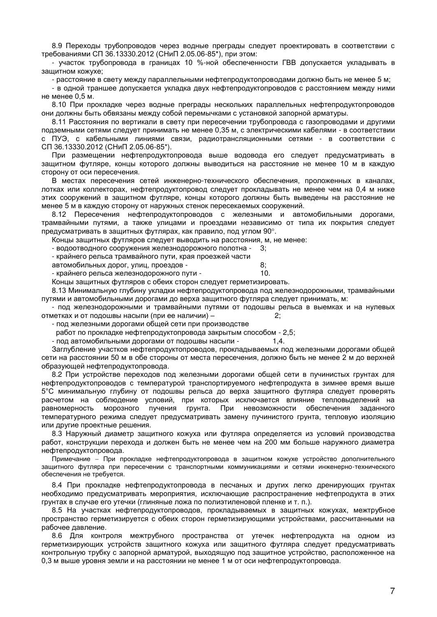8.9 Переходы трубопроводов через водные преграды следует проектировать в соответствии с требованиями СП 36.13330.2012 (СНиП 2.05.06-85\*), при этом:

ичасток трубопровода в границах 10 %-ной обеспеченности ГВВ допускается укладывать в защитном кожухе;

- расстояние в свету между параллельными нефтепродуктопроводами должно быть не менее 5 м;

- в одной траншее допускается укладка двух нефтепродуктопроводов с расстоянием между ними не менее 0.5 м.

8.10 При прокладке через водные преграды нескольких параллельных нефтепродуктопроводов они должны быть обвязаны между собой перемычками с установкой запорной арматуры.

8.11 Расстояния по вертикали в свету при пересечении трубопровода с газопроводами и другими подземными сетями следует принимать не менее 0,35 м, с электрическими кабелями - в соответствии с ПУЭ, с кабельными линиями связи, радиотрансляционными сетями - в соответствии с СП 36.13330.2012 (СНиП 2.05.06-85\*).

При размещении нефтепродуктопровода выше водовода его следует предусматривать в защитном футляре, концы которого должны выводиться на расстояние не менее 10 м в каждую сторону от оси пересечения.

В местах пересечения сетей инженерно-технического обеспечения, проложенных в каналах, лотках или коллекторах, нефтепродуктопровод следует прокладывать не менее чем на 0,4 м ниже этих сооружений в защитном футляре, концы которого должны быть выведены на расстояние не менее 5 м в каждую сторону от наружных стенок пересекаемых сооружений.

8.12 Пересечения нефтепродуктопроводов с железными и автомобильными дорогами, трамвайными путями, а также улицами и проездами независимо от типа их покрытия следует предусматривать в защитных футлярах, как правило, под углом 90°.

Концы защитных футляров следует выводить на расстояния, м, не менее:

- водоотводного сооружения железнодорожного полотна - $\cdot$ 

- крайнего рельса трамвайного пути, края проезжей части

автомобильных дорог, улиц, проездов -

- крайнего рельса железнодорожного пути -

Концы защитных футляров с обеих сторон следует герметизировать.

8.13 Минимальную глубину укладки нефтепродуктопровода под железнодорожными, трамвайными путями и автомобильными дорогами до верха защитного футляра следует принимать, м:

 $8:$ 

 $10.$ 

- под железнодорожными и трамвайными путями от подошвы рельса в выемках и на нулевых отметках и от подошвы насыпи (при ее наличии) - $2.5$ 

- под железными дорогами общей сети при производстве

работ по прокладке нефтепродуктопровода закрытым способом - 2,5;

- под автомобильными дорогами от подошвы насыпи - $1,4.$ 

Заглубление участков нефтепродуктопроводов, прокладываемых под железными дорогами общей сети на расстоянии 50 м в обе стороны от места пересечения, должно быть не менее 2 м до верхней образующей нефтепродуктопровода.

8.2 При устройстве переходов под железными дорогами общей сети в пучинистых грунтах для нефтепродуктопроводов с температурой транспортируемого нефтепродукта в зимнее время выше 5°С минимальную глубину от подошвы рельса до верха защитного футляра следует проверять расчетом на соблюдение условий, при которых исключается влияние тепловыделений на равномерность морозного пучения грунта. При невозможности обеспечения заланного температурного режима следует предусматривать замену пучинистого грунта, тепловую изоляцию или другие проектные решения.

8.3 Наружный диаметр защитного кожуха или футляра определяется из условий производства работ, конструкции перехода и должен быть не менее чем на 200 мм больше наружного диаметра нефтепродуктопровода.

Примечание - При прокладке нефтепродуктопровода в защитном кожухе устройство дополнительного защитного футляра при пересечении с транспортными коммуникациями и сетями инженерно-технического обеспечения не требуется.

8.4 При прокладке нефтепродуктопровода в песчаных и других легко дренирующих грунтах необходимо предусматривать мероприятия, исключающие распространение нефтепродукта в этих грунтах в случае его утечки (глиняные ложа по полиэтиленовой пленке и т. п.).

8.5 На участках нефтепродуктопроводов, прокладываемых в защитных кожухах, межтрубное пространство герметизируется с обеих сторон герметизирующими устройствами, рассчитанными на рабочее давление.

8.6 Для контроля межтрубного пространства от утечек нефтепродукта на одном из герметизирующих устройств защитного кожуха или защитного футляра следует предусматривать контрольную трубку с запорной арматурой, выходящую под защитное устройство, расположенное на 0,3 м выше уровня земли и на расстоянии не менее 1 м от оси нефтепродуктопровода.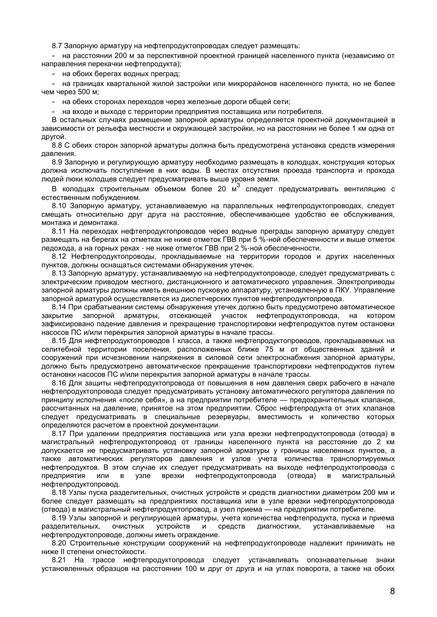8.7 Запорную арматуру на нефтепродуктопроводах следует размещать:

- на расстоянии 200 м за перспективной проектной границей населенного пункта (независимо от направления перекачки нефтепродукта);

- на обоих берегах водных преград;

- на границах квартальной жилой застройки или микрорайонов населенного пункта, но не более чем через 500 м;

- на обеих сторонах переходов через железные дороги общей сети;

на входе и выходе с территории предприятия поставщика или потребителя.

В остальных случаях размещение запорной арматуры определяется проектной документацией в зависимости от рельефа местности и окружающей застройки, но на расстоянии не более 1 км одна от другой.

8.8 С обеих сторон запорной арматуры должна быть предусмотрена установка средств измерения давления.

8.9 Запорную и регулирующую арматуру необходимо размещать в колодцах, конструкция которых должна исключать поступление в них воды. В местах отсутствия проезда транспорта и прохода людей люки колодцев следует предусматривать выше уровня земли.

В колодцах строительным объемом более 20 м<sup>3</sup> следует предусматривать вентиляцию с естественным побуждением.

8.10 Запорную арматуру, устанавливаемую на параллельных нефтепродуктопроводах, следует смещать относительно друг друга на расстояние, обеспечивающее удобство ее обслуживания, монтажа и демонтажа.

8.11 На переходах нефтепродуктопроводов через водные преграды запорную арматуру следует размещать на берегах на отметках не ниже отметок ГВВ при 5 %-ной обеспеченности и выше отметок ледохода, а на горных реках - не ниже отметок ГВВ при 2 %-ной обеспеченности.

8.12 Нефтепродуктопроводы, прокладываемые на территории городов и других населенных пунктов, должны оснащаться системами обнаружения утечек.

8.13 Запорную арматуру, устанавливаемую на нефтепродуктопроводе, следует предусматривать с электрическим приводом местного, дистанционного и автоматического управления. Электроприводы запорной арматуры должны иметь внешнюю пусковую аппаратуру, установленную в ПКУ. Управление запорной арматурой осуществляется из диспетчерских пунктов нефтепродуктопровода.

8.14 При срабатывании системы обнаружения утечек должно быть предусмотрено автоматическое закрытие запорной арматуры, отсекающей участок нефтепродуктопровода, на KOTODOM зафиксировано падение давления и прекращение транспортировки нефтепродуктов путем остановки насосов ПС и/или перекрытия запорной арматуры в начале трассы.

8.15 Для нефтепродуктопроводов I класса, а также нефтепродуктопроводов, прокладываемых на селитебной территории поселения, расположенных ближе 75 м от общественных зданий и сооружений при исчезновении напряжения в силовой сети электроснабжения запорной арматуры. должно быть предусмотрено автоматическое прекращение транспортировки нефтепродуктов путем остановки насосов ПС и/или перекрытия запорной арматуры в начале трассы.

8.16 Для защиты нефтепродуктопровода от повышения в нем давления сверх рабочего в начале нефтепродуктопровода следует предусматривать установку автоматического регулятора давления по принципу исполнения «после себя», а на предприятии потребителе — предохранительных клапанов, рассчитанных на давление, принятое на этом предприятии. Сброс нефтепродукта от этих клапанов следует предусматривать в специальные резервуары, вместимость и количество которых определяются расчетом в проектной документации.

8.17 При удалении предприятия поставщика или узла врезки нефтепродуктопровода (отвода) в магистральный нефтепродуктопровод от границы населенного пункта на расстояние до 2 км допускается не предусматривать установку запорной арматуры у границы населенных пунктов, а также автоматических регуляторов давления и узлов учета количества транспортируемых нефтепродуктов. В этом случае их следует предусматривать на выходе нефтепродуктопровода с предприятия или узле врезки нефтепродуктопровода (отвода)  $R$ магистральный  $\mathbf{B}$ нефтепродуктопровод.

8.18 Узлы пуска разделительных, очистных устройств и средств диагностики диаметром 200 мм и более следует размещать на предприятиях поставщика или в узле врезки нефтепродуктопровода (отвода) в магистральный нефтепродуктопровод, а узел приема - на предприятии потребителе.

8.19 Узлы запорной и регулирующей арматуры, учета количества нефтепродукта, пуска и приема разделительных, **ОЧИСТНЫХ УСТРОЙСТВ** И средств диагностики, устанавливаемые на нефтепродуктопроводе, должны иметь ограждение.

8.20 Строительные конструкции сооружений на нефтепродуктопроводе надлежит принимать не ниже II степени огнестойкости.

8.21 На трассе нефтепродуктопровода следует устанавливать опознавательные знаки установленных образцов на расстоянии 100 м друг от друга и на углах поворота, а также на обоих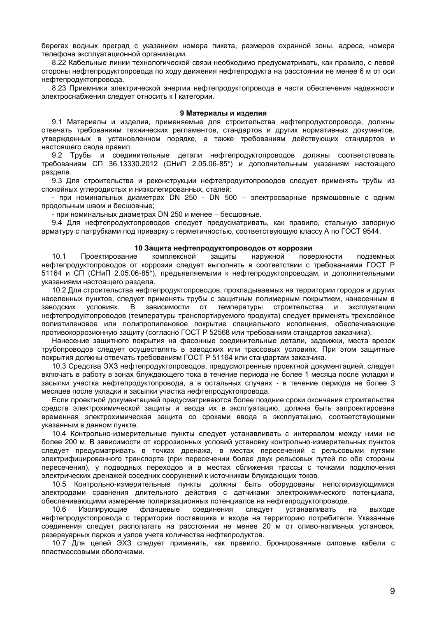берегах водных преград с указанием номера пикета, размеров охранной зоны, адреса, номера телефона эксплуатационной организации.

8.22 Кабельные линии технологической связи необходимо предусматривать, как правило, с левой стороны нефтепродуктопровода по ходу движения нефтепродукта на расстоянии не менее 6 м от оси нефтепродуктопровода.

8.23 Приемники электрической энергии нефтепродуктопровода в части обеспечения надежности электроснабжения следует относить к I категории.

## 9 Материалы и изделия

9.1 Материалы и изделия, применяемые для строительства нефтепродуктопровода, должны отвечать требованиям технических регламентов, стандартов и других нормативных документов, утвержденных в установленном порядке, а также требованиям действующих стандартов и настоящего свода правил.

9.2 Трубы и соединительные детали нефтепродуктопроводов должны соответствовать требованиям СП 36.13330.2012 (СНиП 2.05.06-85\*) и дополнительным указаниям настоящего раздела.

9.3 Для строительства и реконструкции нефтепродуктопроводов следует применять трубы из спокойных углеродистых и низколегированных, сталей:

при номинальных диаметрах DN 250 - DN 500 - электросварные прямошовные с одним продольным швом и бесшовные:

- при номинальных диаметрах DN 250 и менее - бесшовные.

9.4 Для нефтепродуктопроводов следует предусматривать, как правило, стальную запорную арматуру с патрубками под приварку с герметичностью, соответствующую классу А по ГОСТ 9544.

## 10 Защита нефтепродуктопроводов от коррозии

 $10.1$ Проектирование комплексной защиты наружной поверхности подземных нефтепродуктопроводов от коррозии следует выполнять в соответствии с требованиями ГОСТ Р 51164 и СП (СНиП 2.05.06-85\*), предъявляемыми к нефтепродуктопроводам, и дополнительными указаниями настоящего раздела.

10.2 Для строительства нефтепродуктопроводов, прокладываемых на территории городов и других населенных пунктов, следует применять трубы с защитным полимерным покрытием, нанесенным в заволских условиях. В зависимости от температуры строительства и эксплуатации нефтепродуктопроводов (температуры транспортируемого продукта) следует применять трехслойное полиэтиленовое или полипропиленовое покрытие специального исполнения, обеспечивающие противокоррозионную защиту (согласно ГОСТ Р 52568 или требованиям стандартов заказчика).

Нанесение защитного покрытия на фасонные соединительные детали, задвижки, места врезок трубопроводов следует осуществлять в заводских или трассовых условиях. При этом защитные покрытия должны отвечать требованиям ГОСТ Р 51164 или стандартам заказчика.

10.3 Средства ЭХЗ нефтепродуктопроводов, предусмотренные проектной документацией, следует включать в работу в зонах блуждающего тока в течение периода не более 1 месяца после укладки и засыпки участка нефтепродуктопровода, а в остальных случаях - в течение периода не более 3 месяцев после укладки и засыпки участка нефтепродуктопровода.

Если проектной документацией предусматриваются более поздние сроки окончания строительства средств электрохимической защиты и ввода их в эксплуатацию, должна быть запроектирована временная электрохимическая защита со сроками ввода в эксплуатацию, соответствующими указанным в данном пункте.

10.4 Контрольно-измерительные пункты следует устанавливать с интервалом между ними не более 200 м. В зависимости от коррозионных условий установку контрольно-измерительных пунктов следует предусматривать в точках дренажа, в местах пересечений с рельсовыми путями электрифицированного транспорта (при пересечении более двух рельсовых путей по обе стороны пересечения), у подводных переходов и в местах сближения трассы с точками подключения электрических дренажей соседних сооружений к источникам блуждающих токов.

10.5 Контрольно-измерительные пункты должны быть оборудованы неполяризующимися электродами сравнения длительного действия с датчиками электрохимического потенциала, обеспечивающими измерение поляризационных потенциалов на нефтепродуктопроводе.

10.6 Изолирующие фланцевые соединения следует устанавливать на выходе нефтепродуктопровода с территории поставщика и входе на территорию потребителя. Указанные соединения следует располагать на расстоянии не менее 20 м от сливо-наливных установок. резервуарных парков и узлов учета количества нефтепродуктов.

10.7 Для цепей ЭХЗ следует применять, как правило, бронированные силовые кабели с пластмассовыми оболочками.